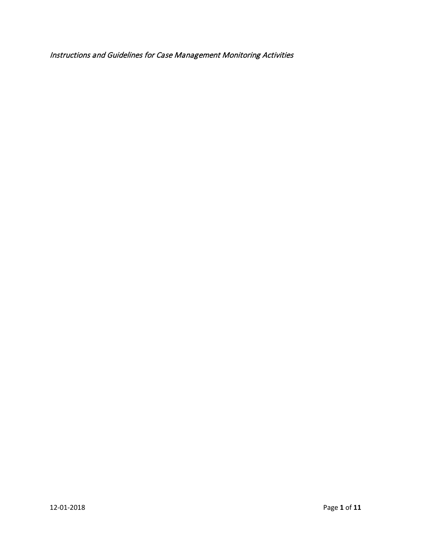Instructions and Guidelines for Case Management Monitoring Activities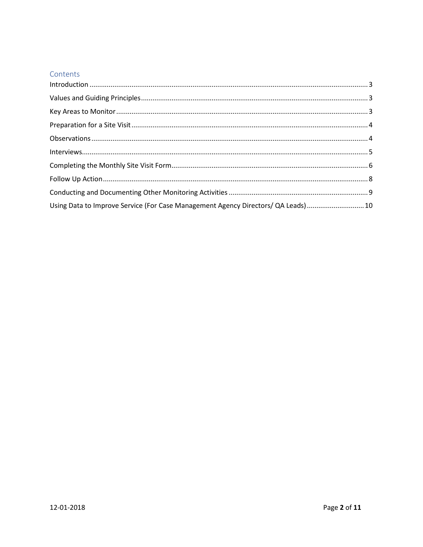#### Contents

| $\label{eq:interviews} \textbf{Interviews}. \textcolor{red}{\textbf{5}} \textcolor{black}{\textbf{5}}$ |  |
|--------------------------------------------------------------------------------------------------------|--|
|                                                                                                        |  |
|                                                                                                        |  |
|                                                                                                        |  |
| Using Data to Improve Service (For Case Management Agency Directors/ QA Leads)  10                     |  |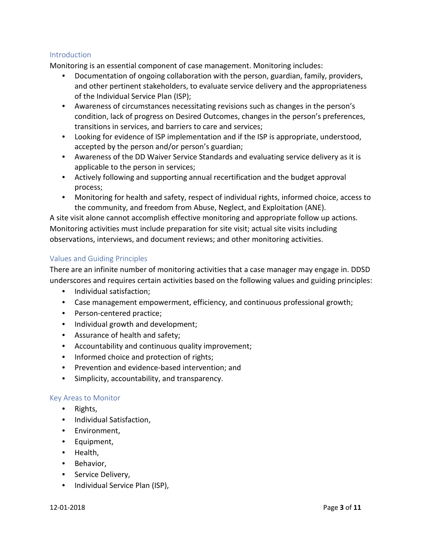### <span id="page-2-0"></span>**Introduction**

Monitoring is an essential component of case management. Monitoring includes:

- Documentation of ongoing collaboration with the person, guardian, family, providers, and other pertinent stakeholders, to evaluate service delivery and the appropriateness of the Individual Service Plan (ISP);
- Awareness of circumstances necessitating revisions such as changes in the person's condition, lack of progress on Desired Outcomes, changes in the person's preferences, transitions in services, and barriers to care and services;
- Looking for evidence of ISP implementation and if the ISP is appropriate, understood, accepted by the person and/or person's guardian;
- Awareness of the DD Waiver Service Standards and evaluating service delivery as it is applicable to the person in services;
- Actively following and supporting annual recertification and the budget approval process;
- Monitoring for health and safety, respect of individual rights, informed choice, access to the community, and freedom from Abuse, Neglect, and Exploitation (ANE).

A site visit alone cannot accomplish effective monitoring and appropriate follow up actions. Monitoring activities must include preparation for site visit; actual site visits including observations, interviews, and document reviews; and other monitoring activities.

# <span id="page-2-1"></span>Values and Guiding Principles

There are an infinite number of monitoring activities that a case manager may engage in. DDSD underscores and requires certain activities based on the following values and guiding principles:

- Individual satisfaction;
- Case management empowerment, efficiency, and continuous professional growth;
- Person-centered practice;
- Individual growth and development;
- Assurance of health and safety;
- Accountability and continuous quality improvement;
- Informed choice and protection of rights;
- Prevention and evidence-based intervention; and
- Simplicity, accountability, and transparency.

#### <span id="page-2-2"></span>Key Areas to Monitor

- Rights,
- Individual Satisfaction,
- Environment,
- Equipment,
- Health,
- Behavior,
- Service Delivery,
- Individual Service Plan (ISP),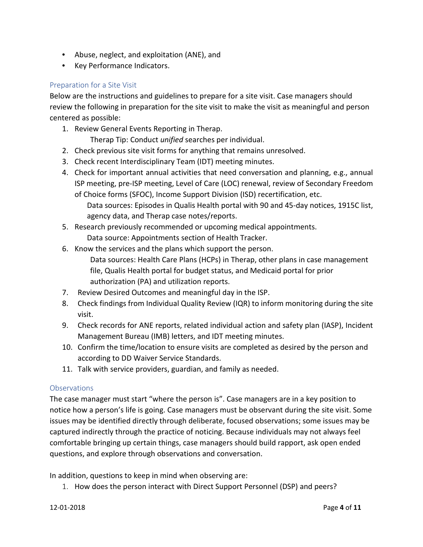- Abuse, neglect, and exploitation (ANE), and
- Key Performance Indicators.

# <span id="page-3-0"></span>Preparation for a Site Visit

Below are the instructions and guidelines to prepare for a site visit. Case managers should review the following in preparation for the site visit to make the visit as meaningful and person centered as possible:

1. Review General Events Reporting in Therap.

Therap Tip: Conduct *unified* searches per individual.

- 2. Check previous site visit forms for anything that remains unresolved.
- 3. Check recent Interdisciplinary Team (IDT) meeting minutes.
- 4. Check for important annual activities that need conversation and planning, e.g., annual ISP meeting, pre-ISP meeting, Level of Care (LOC) renewal, review of Secondary Freedom of Choice forms (SFOC), Income Support Division (ISD) recertification, etc.
	- Data sources: Episodes in Qualis Health portal with 90 and 45-day notices, 1915C list, agency data, and Therap case notes/reports.
- 5. Research previously recommended or upcoming medical appointments. Data source: Appointments section of Health Tracker.
- 6. Know the services and the plans which support the person.
	- Data sources: Health Care Plans (HCPs) in Therap, other plans in case management file, Qualis Health portal for budget status, and Medicaid portal for prior authorization (PA) and utilization reports.
- 7. Review Desired Outcomes and meaningful day in the ISP.
- 8. Check findings from Individual Quality Review (IQR) to inform monitoring during the site visit.
- 9. Check records for ANE reports, related individual action and safety plan (IASP), Incident Management Bureau (IMB) letters, and IDT meeting minutes.
- 10. Confirm the time/location to ensure visits are completed as desired by the person and according to DD Waiver Service Standards.
- 11. Talk with service providers, guardian, and family as needed.

# <span id="page-3-1"></span>**Observations**

The case manager must start "where the person is". Case managers are in a key position to notice how a person's life is going. Case managers must be observant during the site visit. Some issues may be identified directly through deliberate, focused observations; some issues may be captured indirectly through the practice of noticing. Because individuals may not always feel comfortable bringing up certain things, case managers should build rapport, ask open ended questions, and explore through observations and conversation.

In addition, questions to keep in mind when observing are:

1. How does the person interact with Direct Support Personnel (DSP) and peers?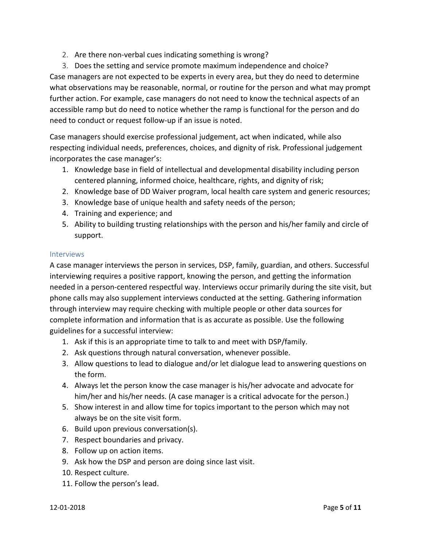2. Are there non-verbal cues indicating something is wrong?

3. Does the setting and service promote maximum independence and choice? Case managers are not expected to be experts in every area, but they do need to determine what observations may be reasonable, normal, or routine for the person and what may prompt further action. For example, case managers do not need to know the technical aspects of an accessible ramp but do need to notice whether the ramp is functional for the person and do need to conduct or request follow-up if an issue is noted.

Case managers should exercise professional judgement, act when indicated, while also respecting individual needs, preferences, choices, and dignity of risk. Professional judgement incorporates the case manager's:

- 1. Knowledge base in field of intellectual and developmental disability including person centered planning, informed choice, healthcare, rights, and dignity of risk;
- 2. Knowledge base of DD Waiver program, local health care system and generic resources;
- 3. Knowledge base of unique health and safety needs of the person;
- 4. Training and experience; and
- 5. Ability to building trusting relationships with the person and his/her family and circle of support.

#### <span id="page-4-0"></span>Interviews

A case manager interviews the person in services, DSP, family, guardian, and others. Successful interviewing requires a positive rapport, knowing the person, and getting the information needed in a person-centered respectful way. Interviews occur primarily during the site visit, but phone calls may also supplement interviews conducted at the setting. Gathering information through interview may require checking with multiple people or other data sources for complete information and information that is as accurate as possible. Use the following guidelines for a successful interview:

- 1. Ask if this is an appropriate time to talk to and meet with DSP/family.
- 2. Ask questions through natural conversation, whenever possible.
- 3. Allow questions to lead to dialogue and/or let dialogue lead to answering questions on the form.
- 4. Always let the person know the case manager is his/her advocate and advocate for him/her and his/her needs. (A case manager is a critical advocate for the person.)
- 5. Show interest in and allow time for topics important to the person which may not always be on the site visit form.
- 6. Build upon previous conversation(s).
- 7. Respect boundaries and privacy.
- 8. Follow up on action items.
- 9. Ask how the DSP and person are doing since last visit.
- 10. Respect culture.
- 11. Follow the person's lead.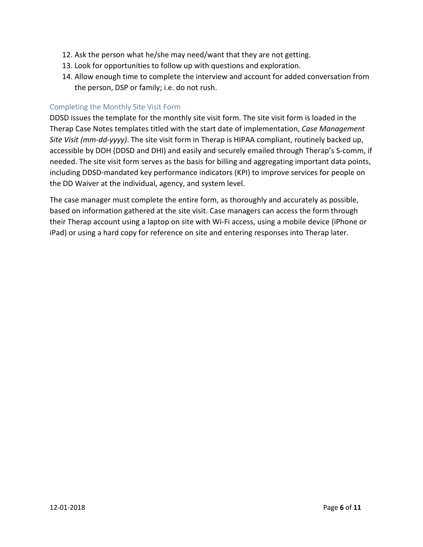- 12. Ask the person what he/she may need/want that they are not getting.
- 13. Look for opportunities to follow up with questions and exploration.
- 14. Allow enough time to complete the interview and account for added conversation from the person, DSP or family; i.e. do not rush.

#### <span id="page-5-0"></span>Completing the Monthly Site Visit Form

DDSD issues the template for the monthly site visit form. The site visit form is loaded in the Therap Case Notes templates titled with the start date of implementation, *Case Management Site Visit (mm-dd-yyyy)*. The site visit form in Therap is HIPAA compliant, routinely backed up, accessible by DOH (DDSD and DHI) and easily and securely emailed through Therap's S-comm, if needed. The site visit form serves as the basis for billing and aggregating important data points, including DDSD-mandated key performance indicators (KPI) to improve services for people on the DD Waiver at the individual, agency, and system level.

The case manager must complete the entire form, as thoroughly and accurately as possible, based on information gathered at the site visit. Case managers can access the form through their Therap account using a laptop on site with Wi-Fi access, using a mobile device (iPhone or iPad) or using a hard copy for reference on site and entering responses into Therap later.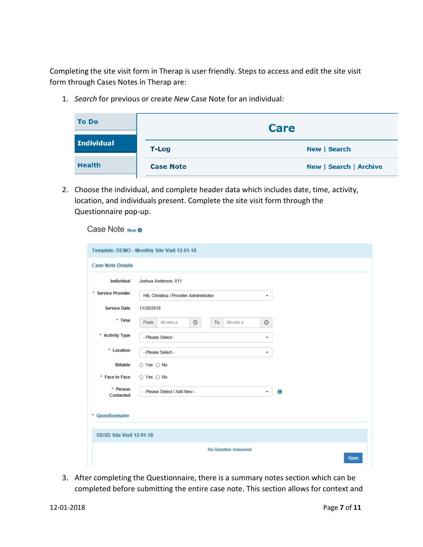Completing the site visit form in Therap is user friendly. Steps to access and edit the site visit form through Cases Notes in Therap are:

1. *Search* for previous or create *New* Case Note for an individual:

| <b>To Do</b>      |                  | <b>Care</b>                   |
|-------------------|------------------|-------------------------------|
| <b>Individual</b> | <b>T-Log</b>     | New   Search                  |
| <b>Health</b>     | <b>Case Note</b> | <b>New   Search   Archive</b> |

2. Choose the individual, and complete header data which includes date, time, activity, location, and individuals present. Complete the site visit form through the Questionnaire pop-up.

# Case Note New **8**

|                       |                                               | Joshua Anderson, 011 |    |         |   |   |  |  |
|-----------------------|-----------------------------------------------|----------------------|----|---------|---|---|--|--|
| * Service Provider    | Hill, Christina / Provider Administrator<br>۰ |                      |    |         |   |   |  |  |
| Service Date          | 11/20/2018                                    |                      |    |         |   |   |  |  |
| * Time                | From<br>hh:mm a                               | $\circ$              | To | hh:mm a | 0 |   |  |  |
| * Activity Type       | - Please Select -                             |                      |    |         | ۰ |   |  |  |
| * Location            | - Please Select -                             |                      |    |         |   |   |  |  |
| <b>Billable</b>       | ○ Yes ○ No                                    |                      |    |         |   |   |  |  |
| * Face to Face        | ○ Yes ○ No                                    |                      |    |         |   |   |  |  |
| * Person<br>Contacted | - Please Select / Add New -                   |                      |    |         | ۰ | Θ |  |  |
| * Questionnaire       |                                               |                      |    |         |   |   |  |  |

3. After completing the Questionnaire, there is a summary notes section which can be completed before submitting the entire case note. This section allows for context and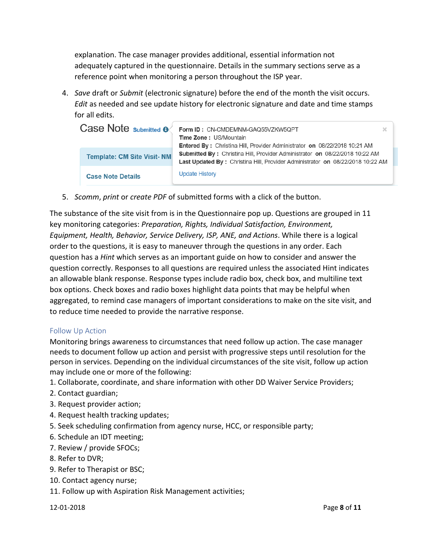explanation. The case manager provides additional, essential information not adequately captured in the questionnaire. Details in the summary sections serve as a reference point when monitoring a person throughout the ISP year.

4. *Save* draft or *Submit* (electronic signature) before the end of the month the visit occurs. *Edit* as needed and see update history for electronic signature and date and time stamps for all edits.

| Case Note submitted <b>o</b>      | Form ID: CN-CMDEMNM-GAQ55VZKW5QPT<br>x<br><b>Time Zone: US/Mountain</b>                                                                                                                                                                                  |
|-----------------------------------|----------------------------------------------------------------------------------------------------------------------------------------------------------------------------------------------------------------------------------------------------------|
| <b>Template: CM Site Visit-NM</b> | <b>Entered By: Christina Hill, Provider Administrator on 08/22/2018 10:21 AM</b><br><b>Submitted By: Christina Hill, Provider Administrator on 08/22/2018 10:22 AM</b><br>Last Updated By: Christina Hill, Provider Administrator on 08/22/2018 10:22 AM |
| <b>Case Note Details</b>          | <b>Update History</b>                                                                                                                                                                                                                                    |

5. *Scomm*, *print* or *create PDF* of submitted forms with a click of the button.

The substance of the site visit from is in the Questionnaire pop up. Questions are grouped in 11 key monitoring categories: *Preparation, Rights, Individual Satisfaction, Environment, Equipment, Health, Behavior, Service Delivery, ISP, ANE, and Actions*. While there is a logical order to the questions, it is easy to maneuver through the questions in any order. Each question has a *Hint* which serves as an important guide on how to consider and answer the question correctly. Responses to all questions are required unless the associated Hint indicates an allowable blank response. Response types include radio box, check box, and multiline text box options. Check boxes and radio boxes highlight data points that may be helpful when aggregated, to remind case managers of important considerations to make on the site visit, and to reduce time needed to provide the narrative response.

#### <span id="page-7-0"></span>Follow Up Action

Monitoring brings awareness to circumstances that need follow up action. The case manager needs to document follow up action and persist with progressive steps until resolution for the person in services. Depending on the individual circumstances of the site visit, follow up action may include one or more of the following:

- 1. Collaborate, coordinate, and share information with other DD Waiver Service Providers;
- 2. Contact guardian;
- 3. Request provider action;
- 4. Request health tracking updates;
- 5. Seek scheduling confirmation from agency nurse, HCC, or responsible party;
- 6. Schedule an IDT meeting;
- 7. Review / provide SFOCs;
- 8. Refer to DVR;
- 9. Refer to Therapist or BSC;
- 10. Contact agency nurse;
- 11. Follow up with Aspiration Risk Management activities;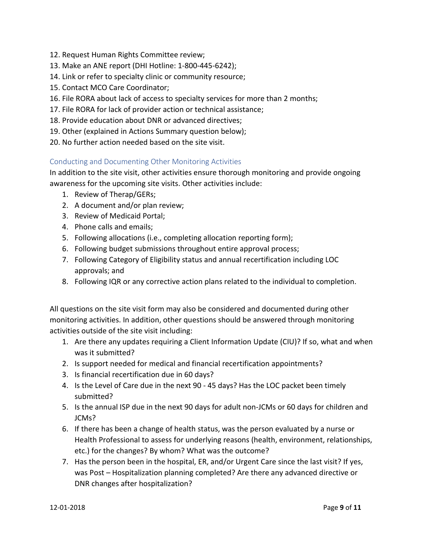- 12. Request Human Rights Committee review;
- 13. Make an ANE report (DHI Hotline: 1-800-445-6242);
- 14. Link or refer to specialty clinic or community resource;
- 15. Contact MCO Care Coordinator;
- 16. File RORA about lack of access to specialty services for more than 2 months;
- 17. File RORA for lack of provider action or technical assistance;
- 18. Provide education about DNR or advanced directives;
- 19. Other (explained in Actions Summary question below);
- 20. No further action needed based on the site visit.

# <span id="page-8-0"></span>Conducting and Documenting Other Monitoring Activities

In addition to the site visit, other activities ensure thorough monitoring and provide ongoing awareness for the upcoming site visits. Other activities include:

- 1. Review of Therap/GERs;
- 2. A document and/or plan review;
- 3. Review of Medicaid Portal;
- 4. Phone calls and emails;
- 5. Following allocations (i.e., completing allocation reporting form);
- 6. Following budget submissions throughout entire approval process;
- 7. Following Category of Eligibility status and annual recertification including LOC approvals; and
- 8. Following IQR or any corrective action plans related to the individual to completion.

All questions on the site visit form may also be considered and documented during other monitoring activities. In addition, other questions should be answered through monitoring activities outside of the site visit including:

- 1. Are there any updates requiring a Client Information Update (CIU)? If so, what and when was it submitted?
- 2. Is support needed for medical and financial recertification appointments?
- 3. Is financial recertification due in 60 days?
- 4. Is the Level of Care due in the next 90 45 days? Has the LOC packet been timely submitted?
- 5. Is the annual ISP due in the next 90 days for adult non-JCMs or 60 days for children and JCMs?
- 6. If there has been a change of health status, was the person evaluated by a nurse or Health Professional to assess for underlying reasons (health, environment, relationships, etc.) for the changes? By whom? What was the outcome?
- 7. Has the person been in the hospital, ER, and/or Urgent Care since the last visit? If yes, was Post – Hospitalization planning completed? Are there any advanced directive or DNR changes after hospitalization?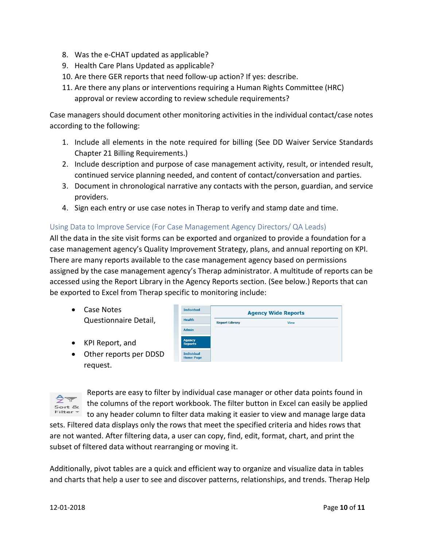- 8. Was the e-CHAT updated as applicable?
- 9. Health Care Plans Updated as applicable?
- 10. Are there GER reports that need follow-up action? If yes: describe.
- 11. Are there any plans or interventions requiring a Human Rights Committee (HRC) approval or review according to review schedule requirements?

Case managers should document other monitoring activities in the individual contact/case notes according to the following:

- 1. Include all elements in the note required for billing (See DD Waiver Service Standards Chapter 21 Billing Requirements.)
- 2. Include description and purpose of case management activity, result, or intended result, continued service planning needed, and content of contact/conversation and parties.
- 3. Document in chronological narrative any contacts with the person, guardian, and service providers.
- 4. Sign each entry or use case notes in Therap to verify and stamp date and time.

# <span id="page-9-0"></span>Using Data to Improve Service (For Case Management Agency Directors/ QA Leads)

All the data in the site visit forms can be exported and organized to provide a foundation for a case management agency's Quality Improvement Strategy, plans, and annual reporting on KPI. There are many reports available to the case management agency based on permissions assigned by the case management agency's Therap administrator. A multitude of reports can be accessed using the Report Library in the Agency Reports section. (See below.) Reports that can be exported to Excel from Therap specific to monitoring include:

- Case Notes Questionnaire Detail,
- KPI Report, and
- Other reports per DDSD request.





Reports are easy to filter by individual case manager or other data points found in the columns of the report workbook. The filter button in Excel can easily be applied to any header column to filter data making it easier to view and manage large data

sets. Filtered data displays only the rows that meet the specified criteria and hides rows that are not wanted. After filtering data, a user can copy, find, edit, format, chart, and print the subset of filtered data without rearranging or moving it.

Additionally, pivot tables are a quick and efficient way to organize and visualize data in tables and charts that help a user to see and discover patterns, relationships, and trends. Therap Help